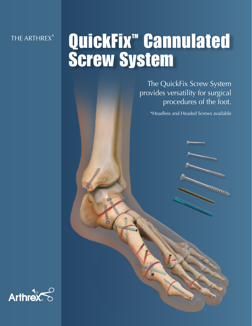THE ARTHREX®

## QuickFix<sup>™</sup> Cannulated Screw System

The QuickFix Screw System provides versatility for surgical procedures of the foot.

\*Headless and Headed Screws available

**CONTROLLS**